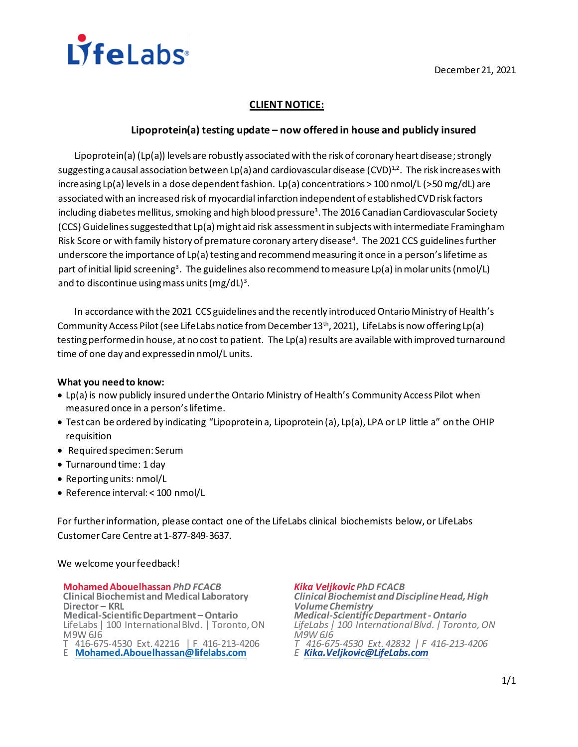

# **CLIENT NOTICE:**

# **Lipoprotein(a) testing update – now offered in house and publicly insured**

Lipoprotein(a) (Lp(a)) levels are robustly associated with the risk of coronary heart disease; strongly suggesting a causal association between Lp(a) and cardiovascular disease (CVD)<sup>1,2</sup>. The risk increases with increasing Lp(a) levelsin a dose dependent fashion. Lp(a) concentrations > 100 nmol/L (>50 mg/dL) are associated with an increased risk of myocardial infarction independent of established CVD risk factors including diabetes mellitus, smoking and high blood pressure<sup>3</sup>. The 2016 Canadian Cardiovascular Society (CCS) Guidelines suggested that Lp(a) might aid risk assessment in subjects with intermediate Framingham Risk Score or with family history of premature coronary artery disease<sup>4</sup>. The 2021 CCS guidelines further underscore the importance of Lp(a) testing and recommend measuring it once in a person's lifetime as part of initial lipid screening<sup>3</sup>. The guidelines also recommend to measure Lp(a) in molar units (nmol/L) and to discontinue using mass units (mg/dL)<sup>3</sup>.

In accordance with the 2021 CCS guidelines and the recently introduced Ontario Ministry of Health's Community Access Pilot (see LifeLabs notice from December 13<sup>th</sup>, 2021), LifeLabs is now offering Lp(a) testing performed in house, at no cost to patient.The Lp(a) results are available with improved turnaround time of one day and expressed in nmol/L units.

## **What you need to know:**

- Lp(a) is now publicly insured under the Ontario Ministry of Health's Community Access Pilot when measured once in a person's lifetime.
- Test can be ordered by indicating "Lipoprotein a, Lipoprotein (a), Lp(a), LPA or LP little a" on the OHIP requisition
- Required specimen: Serum
- Turnaround time: 1 day
- Reporting units: nmol/L
- Reference interval: < 100 nmol/L

For further information, please contact one of the LifeLabs clinical biochemists below, or LifeLabs Customer Care Centre at 1-877-849-3637.

## We welcome your feedback!

**Mohamed Abouelhassan** *PhD FCACB* **Clinical Biochemist and Medical Laboratory Director – KRL Medical-Scientific Department – Ontario** LifeLabs | 100 International Blvd. | Toronto, ON M9W 6J6

T 416-675-4530 Ext. 42216 | F 416-213-4206

E **[Mohamed.Abouelhassan@lifelabs.com](mailto:Mohamed.Abouelhassan@lifelabs.com)**

*Kika Veljkovic PhD FCACB Clinical Biochemist and Discipline Head, High Volume Chemistry Medical-Scientific Department -Ontario LifeLabs | 100 International Blvd. | Toronto, ON M9W 6J6 T 416-675-4530 Ext. 42832 | F 416-213-4206 E [Kika.Veljkovic@LifeLabs.com](mailto:Kika.Veljkovic@LifeLabs.com)*